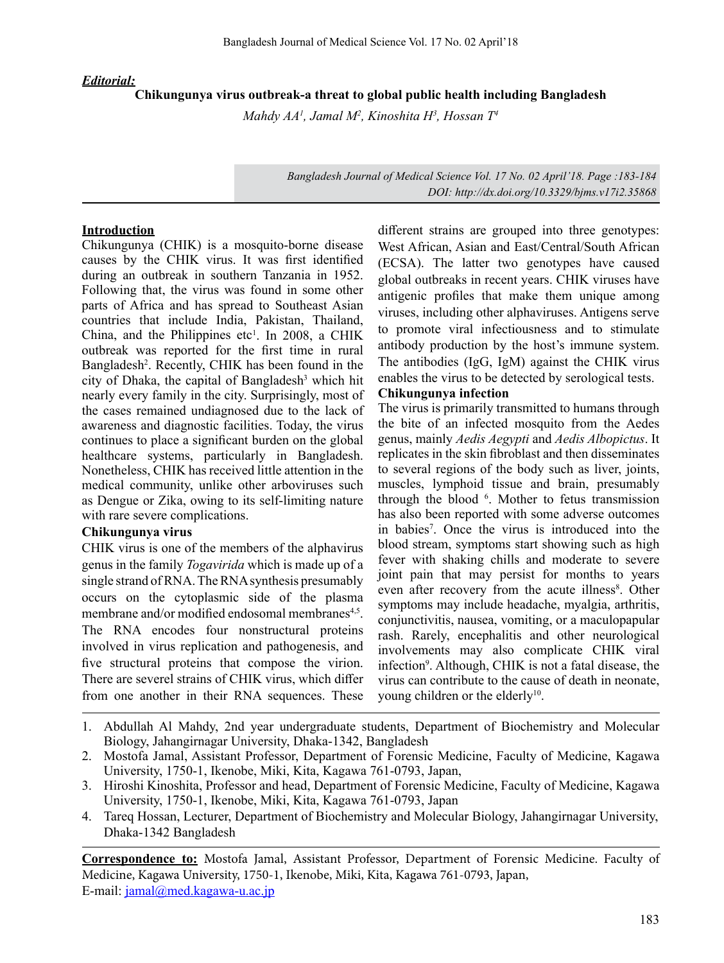## *Editorial:*

**Chikungunya virus outbreak-a threat to global public health including Bangladesh**

*Mahdy AA1 , Jamal M2 , Kinoshita H3 , Hossan T4*

*Bangladesh Journal of Medical Science Vol. 17 No. 02 April'18. Page :183-184 DOI: http://dx.doi.org/10.3329/bjms.v17i2.35868*

## **Introduction**

Chikungunya (CHIK) is a mosquito-borne disease causes by the CHIK virus. It was first identified during an outbreak in southern Tanzania in 1952. Following that, the virus was found in some other parts of Africa and has spread to Southeast Asian countries that include India, Pakistan, Thailand, China, and the Philippines etc<sup>1</sup>. In 2008, a CHIK outbreak was reported for the first time in rural Bangladesh<sup>2</sup>. Recently, CHIK has been found in the city of Dhaka, the capital of Bangladesh<sup>3</sup> which hit nearly every family in the city. Surprisingly, most of the cases remained undiagnosed due to the lack of awareness and diagnostic facilities. Today, the virus continues to place a significant burden on the global healthcare systems, particularly in Bangladesh. Nonetheless, CHIK has received little attention in the medical community, unlike other arboviruses such as Dengue or Zika, owing to its self-limiting nature with rare severe complications.

# **Chikungunya virus**

CHIK virus is one of the members of the alphavirus genus in the family *Togavirida* which is made up of a single strand of RNA. The RNA synthesis presumably occurs on the cytoplasmic side of the plasma membrane and/or modified endosomal membranes<sup>4,5</sup>. The RNA encodes four nonstructural proteins involved in virus replication and pathogenesis, and five structural proteins that compose the virion. There are severel strains of CHIK virus, which differ from one another in their RNA sequences. These

different strains are grouped into three genotypes: West African, Asian and East/Central/South African (ECSA). The latter two genotypes have caused global outbreaks in recent years. CHIK viruses have antigenic profiles that make them unique among viruses, including other alphaviruses. Antigens serve to promote viral infectiousness and to stimulate antibody production by the host's immune system. The antibodies (IgG, IgM) against the CHIK virus enables the virus to be detected by serological tests. **Chikungunya infection**

The virus is primarily transmitted to humans through the bite of an infected mosquito from the Aedes genus, mainly *Aedis Aegypti* and *Aedis Albopictus*. It replicates in the skin fibroblast and then disseminates to several regions of the body such as liver, joints, muscles, lymphoid tissue and brain, presumably through the blood <sup>6</sup>. Mother to fetus transmission has also been reported with some adverse outcomes in babies7 . Once the virus is introduced into the blood stream, symptoms start showing such as high fever with shaking chills and moderate to severe joint pain that may persist for months to years even after recovery from the acute illness<sup>8</sup>. Other symptoms may include headache, myalgia, arthritis, conjunctivitis, nausea, vomiting, or a maculopapular rash. Rarely, encephalitis and other neurological involvements may also complicate CHIK viral infection<sup>9</sup>. Although, CHIK is not a fatal disease, the virus can contribute to the cause of death in neonate, young children or the elderly<sup>10</sup>.

- 1. Abdullah Al Mahdy, 2nd year undergraduate students, Department of Biochemistry and Molecular Biology, Jahangirnagar University, Dhaka-1342, Bangladesh
- 2. Mostofa Jamal, Assistant Professor, Department of Forensic Medicine, Faculty of Medicine, Kagawa University, 1750-1, Ikenobe, Miki, Kita, Kagawa 761-0793, Japan,
- 3. Hiroshi Kinoshita, Professor and head, Department of Forensic Medicine, Faculty of Medicine, Kagawa University, 1750-1, Ikenobe, Miki, Kita, Kagawa 761-0793, Japan
- 4. Tareq Hossan, Lecturer, Department of Biochemistry and Molecular Biology, Jahangirnagar University, Dhaka-1342 Bangladesh

**Correspondence to:** Mostofa Jamal, Assistant Professor, Department of Forensic Medicine. Faculty of Medicine, Kagawa University, 1750-1, Ikenobe, Miki, Kita, Kagawa 761-0793, Japan, E-mail: jamal@med.kagawa-u.ac.jp